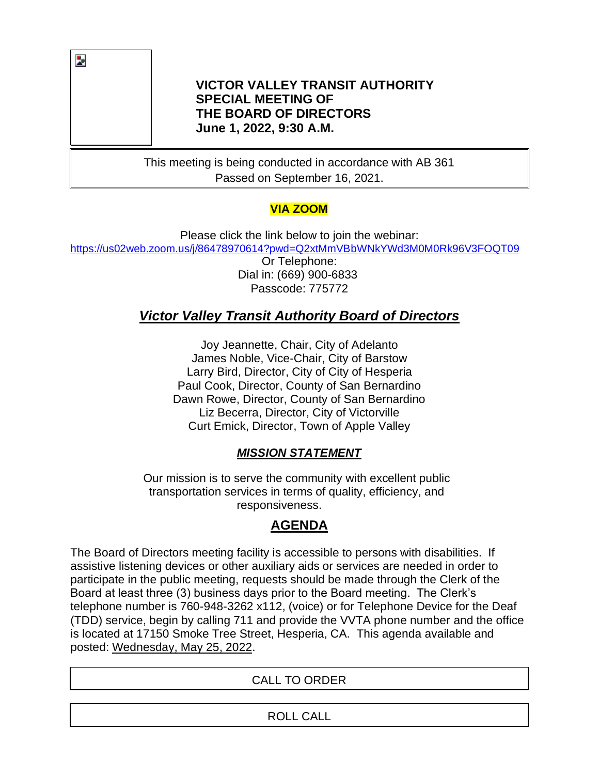

#### **VICTOR VALLEY TRANSIT AUTHORITY SPECIAL MEETING OF THE BOARD OF DIRECTORS June 1, 2022, 9:30 A.M.**

This meeting is being conducted in accordance with AB 361 Passed on September 16, 2021.

# **VIA ZOOM**

Please click the link below to join the webinar: [https://us02web.zoom.us/j/86478970614?pwd=Q2xtMmVBbWNkYWd3M0M0Rk96V3FOQT09](https://nam02.safelinks.protection.outlook.com/?url=https%3A%2F%2Fus02web.zoom.us%2Fj%2F86478970614%3Fpwd%3DQ2xtMmVBbWNkYWd3M0M0Rk96V3FOQT09&data=04%7C01%7Cdalbin%40vvta.org%7Cc350796d1533483156c008d9d16bf343%7Ca1c1ac54919f4ffa800e641136641273%7C0%7C0%7C637771083828827593%7CUnknown%7CTWFpbGZsb3d8eyJWIjoiMC4wLjAwMDAiLCJQIjoiV2luMzIiLCJBTiI6Ik1haWwiLCJXVCI6Mn0%3D%7C3000&sdata=XwwW1jXQuWSk4Clq7jB7IsJgfhXZnEOaML1CHU%2FJwoU%3D&reserved=0) Or Telephone: Dial in: (669) 900-6833 Passcode: 775772

# *Victor Valley Transit Authority Board of Directors*

Joy Jeannette, Chair, City of Adelanto James Noble, Vice-Chair, City of Barstow Larry Bird, Director, City of City of Hesperia Paul Cook, Director, County of San Bernardino Dawn Rowe, Director, County of San Bernardino Liz Becerra, Director, City of Victorville Curt Emick, Director, Town of Apple Valley

## *MISSION STATEMENT*

Our mission is to serve the community with excellent public transportation services in terms of quality, efficiency, and responsiveness.

# **AGENDA**

The Board of Directors meeting facility is accessible to persons with disabilities. If assistive listening devices or other auxiliary aids or services are needed in order to participate in the public meeting, requests should be made through the Clerk of the Board at least three (3) business days prior to the Board meeting. The Clerk's telephone number is 760-948-3262 x112, (voice) or for Telephone Device for the Deaf (TDD) service, begin by calling 711 and provide the VVTA phone number and the office is located at 17150 Smoke Tree Street, Hesperia, CA. This agenda available and posted: Wednesday, May 25, 2022.

## CALL TO ORDER

ROLL CALL